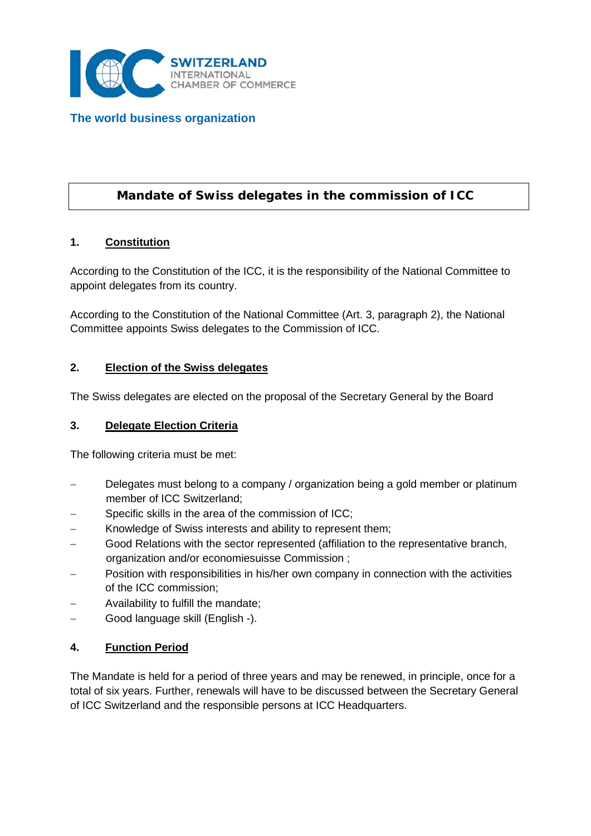

**The world business organization**

# **Mandate of Swiss delegates in the commission of ICC**

### **1. Constitution**

According to the Constitution of the ICC, it is the responsibility of the National Committee to appoint delegates from its country.

According to the Constitution of the National Committee (Art. 3, paragraph 2), the National Committee appoints Swiss delegates to the Commission of ICC.

#### **2. Election of the Swiss delegates**

The Swiss delegates are elected on the proposal of the Secretary General by the Board

### **3. Delegate Election Criteria**

The following criteria must be met:

- Delegates must belong to a company / organization being a gold member or platinum member of ICC Switzerland;
- Specific skills in the area of the commission of ICC;
- Knowledge of Swiss interests and ability to represent them;
- Good Relations with the sector represented (affiliation to the representative branch, organization and/or economiesuisse Commission ;
- − Position with responsibilities in his/her own company in connection with the activities of the ICC commission;
- − Availability to fulfill the mandate;
- − Good language skill (English -).

### **4. Function Period**

The Mandate is held for a period of three years and may be renewed, in principle, once for a total of six years. Further, renewals will have to be discussed between the Secretary General of ICC Switzerland and the responsible persons at ICC Headquarters.